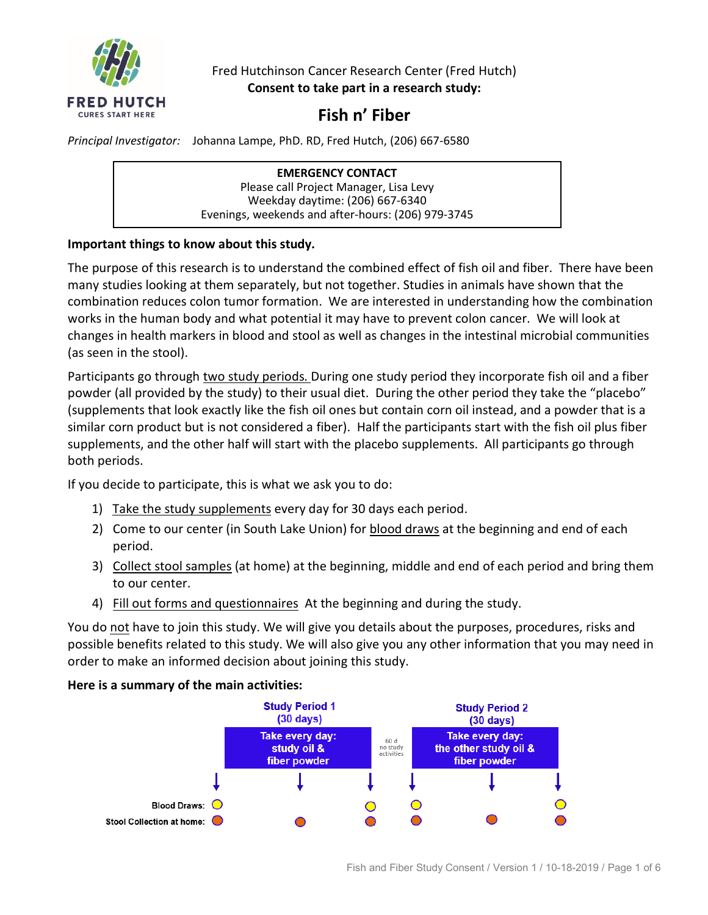

Fred Hutchinson Cancer Research Center (Fred Hutch) **Consent to take part in a research study:**

# **Fish n' Fiber**

*Principal Investigator:* Johanna Lampe, PhD. RD, Fred Hutch, (206) 667-6580

**EMERGENCY CONTACT** Please call Project Manager, Lisa Levy Weekday daytime: (206) 667-6340 Evenings, weekends and after-hours: (206) 979-3745

# **Important things to know about this study.**

The purpose of this research is to understand the combined effect of fish oil and fiber. There have been many studies looking at them separately, but not together. Studies in animals have shown that the combination reduces colon tumor formation. We are interested in understanding how the combination works in the human body and what potential it may have to prevent colon cancer. We will look at changes in health markers in blood and stool as well as changes in the intestinal microbial communities (as seen in the stool).

Participants go through two study periods. During one study period they incorporate fish oil and a fiber powder (all provided by the study) to their usual diet. During the other period they take the "placebo" (supplements that look exactly like the fish oil ones but contain corn oil instead, and a powder that is a similar corn product but is not considered a fiber). Half the participants start with the fish oil plus fiber supplements, and the other half will start with the placebo supplements. All participants go through both periods.

If you decide to participate, this is what we ask you to do:

- 1) Take the study supplements every day for 30 days each period.
- 2) Come to our center (in South Lake Union) for blood draws at the beginning and end of each period.
- 3) Collect stool samples (at home) at the beginning, middle and end of each period and bring them to our center.
- 4) Fill out forms and questionnaires At the beginning and during the study.

You do not have to join this study. We will give you details about the purposes, procedures, risks and possible benefits related to this study. We will also give you any other information that you may need in order to make an informed decision about joining this study.

# **Here is a summary of the main activities:**

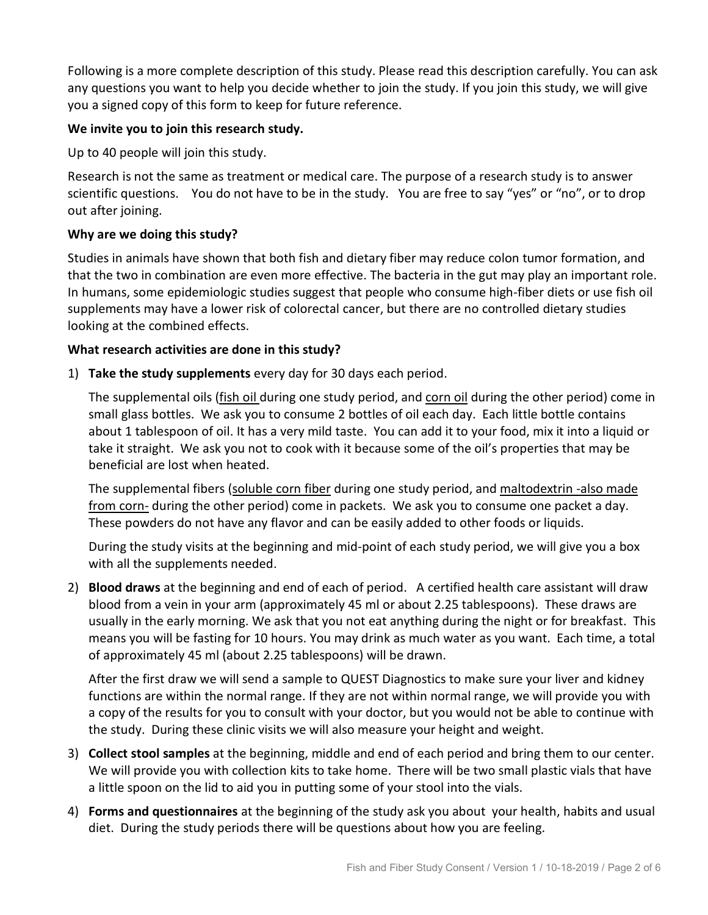Following is a more complete description of this study. Please read this description carefully. You can ask any questions you want to help you decide whether to join the study. If you join this study, we will give you a signed copy of this form to keep for future reference.

## **We invite you to join this research study.**

Up to 40 people will join this study.

Research is not the same as treatment or medical care. The purpose of a research study is to answer scientific questions. You do not have to be in the study. You are free to say "yes" or "no", or to drop out after joining.

## **Why are we doing this study?**

Studies in animals have shown that both fish and dietary fiber may reduce colon tumor formation, and that the two in combination are even more effective. The bacteria in the gut may play an important role. In humans, some epidemiologic studies suggest that people who consume high-fiber diets or use fish oil supplements may have a lower risk of colorectal cancer, but there are no controlled dietary studies looking at the combined effects.

## **What research activities are done in this study?**

1) **Take the study supplements** every day for 30 days each period.

The supplemental oils (fish oil during one study period, and corn oil during the other period) come in small glass bottles. We ask you to consume 2 bottles of oil each day. Each little bottle contains about 1 tablespoon of oil. It has a very mild taste. You can add it to your food, mix it into a liquid or take it straight. We ask you not to cook with it because some of the oil's properties that may be beneficial are lost when heated.

The supplemental fibers (soluble corn fiber during one study period, and maltodextrin -also made from corn- during the other period) come in packets. We ask you to consume one packet a day. These powders do not have any flavor and can be easily added to other foods or liquids.

During the study visits at the beginning and mid-point of each study period, we will give you a box with all the supplements needed.

2) **Blood draws** at the beginning and end of each of period. A certified health care assistant will draw blood from a vein in your arm (approximately 45 ml or about 2.25 tablespoons). These draws are usually in the early morning. We ask that you not eat anything during the night or for breakfast. This means you will be fasting for 10 hours. You may drink as much water as you want. Each time, a total of approximately 45 ml (about 2.25 tablespoons) will be drawn.

After the first draw we will send a sample to QUEST Diagnostics to make sure your liver and kidney functions are within the normal range. If they are not within normal range, we will provide you with a copy of the results for you to consult with your doctor, but you would not be able to continue with the study. During these clinic visits we will also measure your height and weight.

- 3) **Collect stool samples** at the beginning, middle and end of each period and bring them to our center. We will provide you with collection kits to take home. There will be two small plastic vials that have a little spoon on the lid to aid you in putting some of your stool into the vials.
- 4) **Forms and questionnaires** at the beginning of the study ask you about your health, habits and usual diet. During the study periods there will be questions about how you are feeling.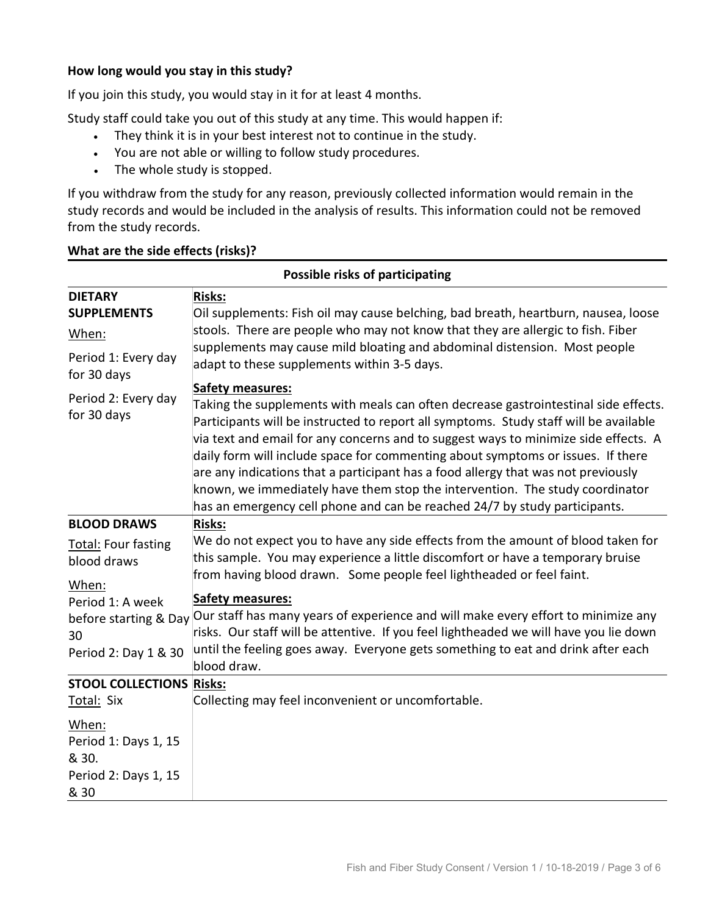### **How long would you stay in this study?**

If you join this study, you would stay in it for at least 4 months.

Study staff could take you out of this study at any time. This would happen if:

- They think it is in your best interest not to continue in the study.
- You are not able or willing to follow study procedures.
- The whole study is stopped.

If you withdraw from the study for any reason, previously collected information would remain in the study records and would be included in the analysis of results. This information could not be removed from the study records.

#### **What are the side effects (risks)?**

| Possible risks of participating                                        |                                                                                                                                                                                                                                                                                                                                                                                                                                                                                                                                                                                                                                      |  |
|------------------------------------------------------------------------|--------------------------------------------------------------------------------------------------------------------------------------------------------------------------------------------------------------------------------------------------------------------------------------------------------------------------------------------------------------------------------------------------------------------------------------------------------------------------------------------------------------------------------------------------------------------------------------------------------------------------------------|--|
| <b>DIETARY</b>                                                         | <b>Risks:</b>                                                                                                                                                                                                                                                                                                                                                                                                                                                                                                                                                                                                                        |  |
| <b>SUPPLEMENTS</b>                                                     | Oil supplements: Fish oil may cause belching, bad breath, heartburn, nausea, loose                                                                                                                                                                                                                                                                                                                                                                                                                                                                                                                                                   |  |
| When:                                                                  | stools. There are people who may not know that they are allergic to fish. Fiber                                                                                                                                                                                                                                                                                                                                                                                                                                                                                                                                                      |  |
| Period 1: Every day<br>for 30 days                                     | supplements may cause mild bloating and abdominal distension. Most people<br>adapt to these supplements within 3-5 days.                                                                                                                                                                                                                                                                                                                                                                                                                                                                                                             |  |
| Period 2: Every day<br>for 30 days                                     | <b>Safety measures:</b><br>Taking the supplements with meals can often decrease gastrointestinal side effects.<br>Participants will be instructed to report all symptoms. Study staff will be available<br>via text and email for any concerns and to suggest ways to minimize side effects. A<br>daily form will include space for commenting about symptoms or issues. If there<br>are any indications that a participant has a food allergy that was not previously<br>known, we immediately have them stop the intervention. The study coordinator<br>has an emergency cell phone and can be reached 24/7 by study participants. |  |
| <b>BLOOD DRAWS</b>                                                     | Risks:                                                                                                                                                                                                                                                                                                                                                                                                                                                                                                                                                                                                                               |  |
| <b>Total: Four fasting</b><br>blood draws<br>When:                     | We do not expect you to have any side effects from the amount of blood taken for<br>this sample. You may experience a little discomfort or have a temporary bruise<br>from having blood drawn. Some people feel lightheaded or feel faint.                                                                                                                                                                                                                                                                                                                                                                                           |  |
| Period 1: A week                                                       | <b>Safety measures:</b>                                                                                                                                                                                                                                                                                                                                                                                                                                                                                                                                                                                                              |  |
| before starting & Day<br>30                                            | Our staff has many years of experience and will make every effort to minimize any<br>risks. Our staff will be attentive. If you feel lightheaded we will have you lie down<br>until the feeling goes away. Everyone gets something to eat and drink after each                                                                                                                                                                                                                                                                                                                                                                       |  |
| Period 2: Day 1 & 30                                                   | blood draw.                                                                                                                                                                                                                                                                                                                                                                                                                                                                                                                                                                                                                          |  |
| <b>STOOL COLLECTIONS Risks:</b>                                        |                                                                                                                                                                                                                                                                                                                                                                                                                                                                                                                                                                                                                                      |  |
| Total: Six                                                             | Collecting may feel inconvenient or uncomfortable.                                                                                                                                                                                                                                                                                                                                                                                                                                                                                                                                                                                   |  |
| When:<br>Period 1: Days 1, 15<br>& 30.<br>Period 2: Days 1, 15<br>& 30 |                                                                                                                                                                                                                                                                                                                                                                                                                                                                                                                                                                                                                                      |  |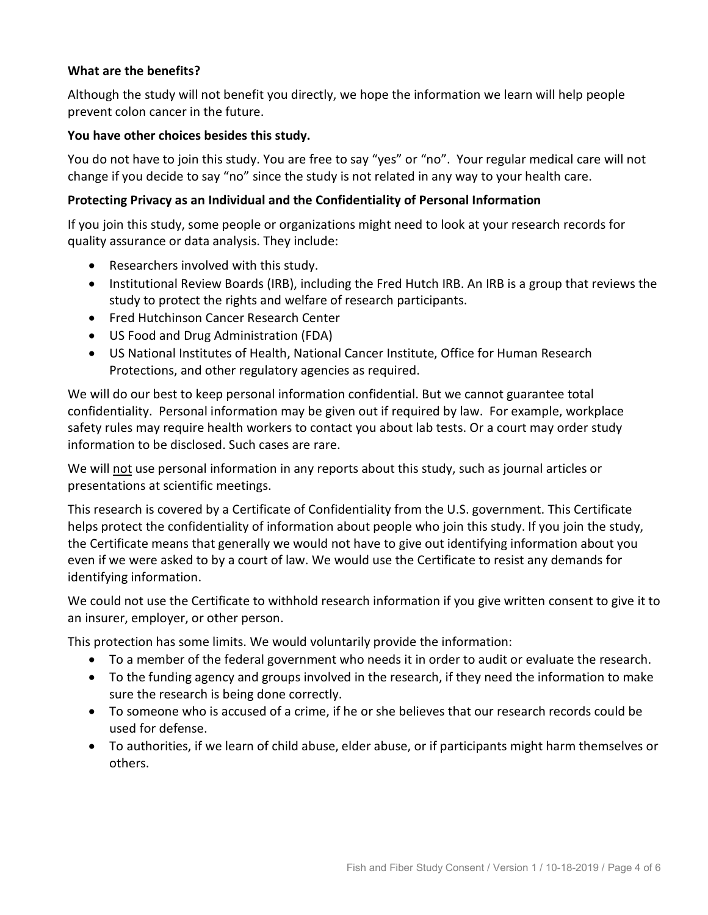## **What are the benefits?**

Although the study will not benefit you directly, we hope the information we learn will help people prevent colon cancer in the future.

#### **You have other choices besides this study.**

You do not have to join this study. You are free to say "yes" or "no". Your regular medical care will not change if you decide to say "no" since the study is not related in any way to your health care.

#### **Protecting Privacy as an Individual and the Confidentiality of Personal Information**

If you join this study, some people or organizations might need to look at your research records for quality assurance or data analysis. They include:

- Researchers involved with this study.
- Institutional Review Boards (IRB), including the Fred Hutch IRB. An IRB is a group that reviews the study to protect the rights and welfare of research participants.
- Fred Hutchinson Cancer Research Center
- US Food and Drug Administration (FDA)
- US National Institutes of Health, National Cancer Institute, Office for Human Research Protections, and other regulatory agencies as required.

We will do our best to keep personal information confidential. But we cannot guarantee total confidentiality. Personal information may be given out if required by law. For example, workplace safety rules may require health workers to contact you about lab tests. Or a court may order study information to be disclosed. Such cases are rare.

We will not use personal information in any reports about this study, such as journal articles or presentations at scientific meetings.

This research is covered by a Certificate of Confidentiality from the U.S. government. This Certificate helps protect the confidentiality of information about people who join this study. If you join the study, the Certificate means that generally we would not have to give out identifying information about you even if we were asked to by a court of law. We would use the Certificate to resist any demands for identifying information.

We could not use the Certificate to withhold research information if you give written consent to give it to an insurer, employer, or other person.

This protection has some limits. We would voluntarily provide the information:

- To a member of the federal government who needs it in order to audit or evaluate the research.
- To the funding agency and groups involved in the research, if they need the information to make sure the research is being done correctly.
- To someone who is accused of a crime, if he or she believes that our research records could be used for defense.
- To authorities, if we learn of child abuse, elder abuse, or if participants might harm themselves or others.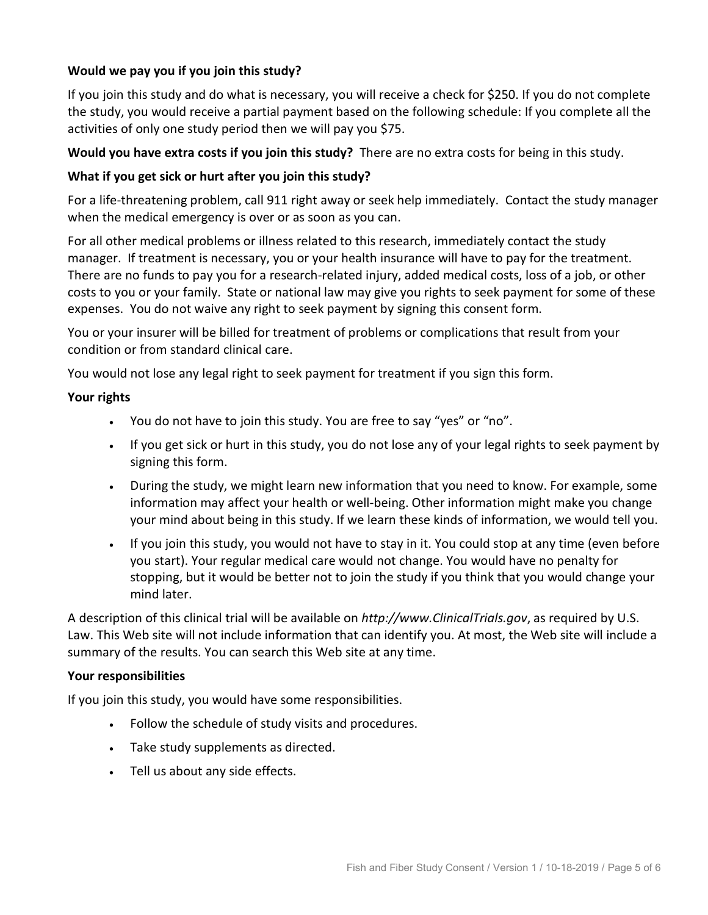# **Would we pay you if you join this study?**

If you join this study and do what is necessary, you will receive a check for \$250. If you do not complete the study, you would receive a partial payment based on the following schedule: If you complete all the activities of only one study period then we will pay you \$75.

# **Would you have extra costs if you join this study?** There are no extra costs for being in this study.

## **What if you get sick or hurt after you join this study?**

For a life-threatening problem, call 911 right away or seek help immediately. Contact the study manager when the medical emergency is over or as soon as you can.

For all other medical problems or illness related to this research, immediately contact the study manager. If treatment is necessary, you or your health insurance will have to pay for the treatment. There are no funds to pay you for a research-related injury, added medical costs, loss of a job, or other costs to you or your family. State or national law may give you rights to seek payment for some of these expenses. You do not waive any right to seek payment by signing this consent form.

You or your insurer will be billed for treatment of problems or complications that result from your condition or from standard clinical care.

You would not lose any legal right to seek payment for treatment if you sign this form.

#### **Your rights**

- You do not have to join this study. You are free to say "yes" or "no".
- If you get sick or hurt in this study, you do not lose any of your legal rights to seek payment by signing this form.
- During the study, we might learn new information that you need to know. For example, some information may affect your health or well-being. Other information might make you change your mind about being in this study. If we learn these kinds of information, we would tell you.
- If you join this study, you would not have to stay in it. You could stop at any time (even before you start). Your regular medical care would not change. You would have no penalty for stopping, but it would be better not to join the study if you think that you would change your mind later.

A description of this clinical trial will be available on *[http://www.ClinicalTrials.gov](http://www.clinicaltrials.gov/)*, as required by U.S. Law. This Web site will not include information that can identify you. At most, the Web site will include a summary of the results. You can search this Web site at any time.

#### **Your responsibilities**

If you join this study, you would have some responsibilities.

- Follow the schedule of study visits and procedures.
- Take study supplements as directed.
- Tell us about any side effects.